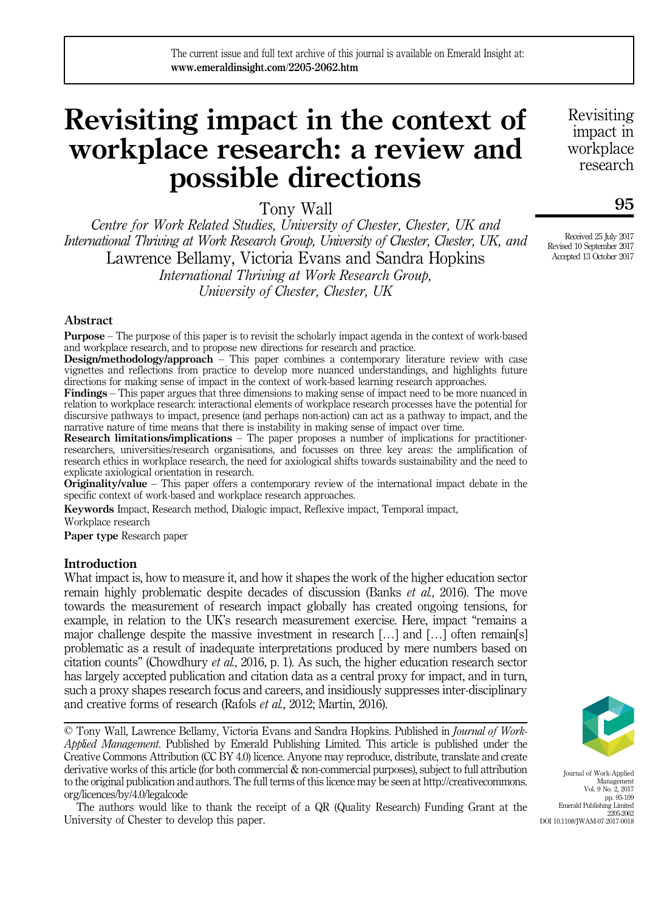# Revisiting impact in the context of workplace research: a review and possible directions

Tony Wall

Centre for Work Related Studies, University of Chester, Chester, UK and International Thriving at Work Research Group, University of Chester, Chester, UK, and Lawrence Bellamy, Victoria Evans and Sandra Hopkins International Thriving at Work Research Group, University of Chester, Chester, UK

Abstract

Purpose – The purpose of this paper is to revisit the scholarly impact agenda in the context of work-based and workplace research, and to propose new directions for research and practice.

Design/methodology/approach – This paper combines a contemporary literature review with case vignettes and reflections from practice to develop more nuanced understandings, and highlights future directions for making sense of impact in the context of work-based learning research approaches.

Findings – This paper argues that three dimensions to making sense of impact need to be more nuanced in relation to workplace research: interactional elements of workplace research processes have the potential for discursive pathways to impact, presence (and perhaps non-action) can act as a pathway to impact, and the narrative nature of time means that there is instability in making sense of impact over time.

Research limitations/implications – The paper proposes a number of implications for practitionerresearchers, universities/research organisations, and focusses on three key areas: the amplification of research ethics in workplace research, the need for axiological shifts towards sustainability and the need to explicate axiological orientation in research.

Originality/value – This paper offers a contemporary review of the international impact debate in the specific context of work-based and workplace research approaches.

Keywords Impact, Research method, Dialogic impact, Reflexive impact, Temporal impact,

Workplace research

Paper type Research paper

# **Introduction**

What impact is, how to measure it, and how it shapes the work of the higher education sector remain highly problematic despite decades of discussion (Banks *et al.*, 2016). The move towards the measurement of research impact globally has created ongoing tensions, for example, in relation to the UK's research measurement exercise. Here, impact "remains a major challenge despite the massive investment in research […] and […] often remain[s] problematic as a result of inadequate interpretations produced by mere numbers based on citation counts" (Chowdhury et al., 2016, p. 1). As such, the higher education research sector has largely accepted publication and citation data as a central proxy for impact, and in turn, such a proxy shapes research focus and careers, and insidiously suppresses inter-disciplinary and creative forms of research (Rafols et al., 2012; Martin, 2016).

© Tony Wall, Lawrence Bellamy, Victoria Evans and Sandra Hopkins. Published in *Journal of Work-*Applied Management. Published by Emerald Publishing Limited. This article is published under the Creative Commons Attribution (CC BY 4.0) licence. Anyone may reproduce, distribute, translate and create derivative works of this article (for both commercial & non-commercial purposes), subject to full attribution to the original publication and authors. The full terms of this licence may be seen at [http://creativecommons.](http://creativecommons.org/licences/by/4.0/legalcode) [org/licences/by/4.0/legalcode](http://creativecommons.org/licences/by/4.0/legalcode)

The authors would like to thank the receipt of a QR (Quality Research) Funding Grant at the University of Chester to develop this paper.

Journal of Work-Applied Management Vol. 9 No. 2, 2017 pp. 95-109 Emerald Publishing Limited 2205-2062 DOI 10.1108/JWAM-07-2017-0018

Revisiting impact in workplace research

Received 25 July 2017 Revised 10 September 2017 Accepted 13 October 2017

95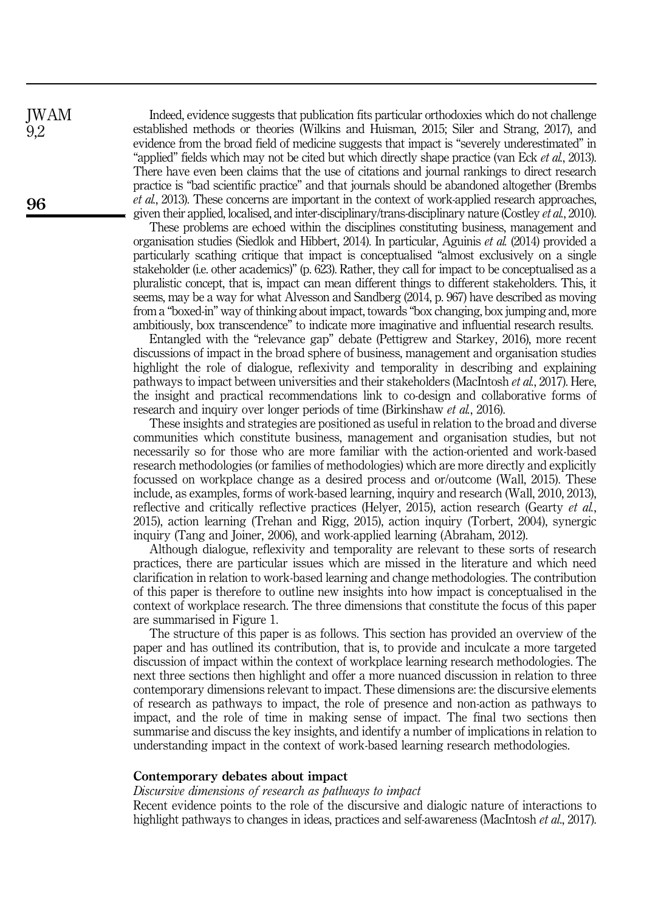Indeed, evidence suggests that publication fits particular orthodoxies which do not challenge established methods or theories (Wilkins and Huisman, 2015; Siler and Strang, 2017), and evidence from the broad field of medicine suggests that impact is "severely underestimated" in "applied" fields which may not be cited but which directly shape practice (van Eck et al., 2013). There have even been claims that the use of citations and journal rankings to direct research practice is "bad scientific practice" and that journals should be abandoned altogether (Brembs et al., 2013). These concerns are important in the context of work-applied research approaches, given their applied, localised, and inter-disciplinary/trans-disciplinary nature (Costley et al., 2010).

These problems are echoed within the disciplines constituting business, management and organisation studies (Siedlok and Hibbert, 2014). In particular, Aguinis et al. (2014) provided a particularly scathing critique that impact is conceptualised "almost exclusively on a single stakeholder (i.e. other academics)" (p. 623). Rather, they call for impact to be conceptualised as a pluralistic concept, that is, impact can mean different things to different stakeholders. This, it seems, may be a way for what Alvesson and Sandberg (2014, p. 967) have described as moving from a "boxed-in" way of thinking about impact, towards "box changing, box jumping and, more ambitiously, box transcendence" to indicate more imaginative and influential research results.

Entangled with the "relevance gap" debate (Pettigrew and Starkey, 2016), more recent discussions of impact in the broad sphere of business, management and organisation studies highlight the role of dialogue, reflexivity and temporality in describing and explaining pathways to impact between universities and their stakeholders (MacIntosh et al., 2017). Here, the insight and practical recommendations link to co-design and collaborative forms of research and inquiry over longer periods of time (Birkinshaw *et al.*, 2016).

These insights and strategies are positioned as useful in relation to the broad and diverse communities which constitute business, management and organisation studies, but not necessarily so for those who are more familiar with the action-oriented and work-based research methodologies (or families of methodologies) which are more directly and explicitly focussed on workplace change as a desired process and or/outcome (Wall, 2015). These include, as examples, forms of work-based learning, inquiry and research (Wall, 2010, 2013), reflective and critically reflective practices (Helyer, 2015), action research (Gearty  $et al$ , 2015), action learning (Trehan and Rigg, 2015), action inquiry (Torbert, 2004), synergic inquiry (Tang and Joiner, 2006), and work-applied learning (Abraham, 2012).

Although dialogue, reflexivity and temporality are relevant to these sorts of research practices, there are particular issues which are missed in the literature and which need clarification in relation to work-based learning and change methodologies. The contribution of this paper is therefore to outline new insights into how impact is conceptualised in the context of workplace research. The three dimensions that constitute the focus of this paper are summarised in Figure 1.

The structure of this paper is as follows. This section has provided an overview of the paper and has outlined its contribution, that is, to provide and inculcate a more targeted discussion of impact within the context of workplace learning research methodologies. The next three sections then highlight and offer a more nuanced discussion in relation to three contemporary dimensions relevant to impact. These dimensions are: the discursive elements of research as pathways to impact, the role of presence and non-action as pathways to impact, and the role of time in making sense of impact. The final two sections then summarise and discuss the key insights, and identify a number of implications in relation to understanding impact in the context of work-based learning research methodologies.

#### Contemporary debates about impact

## Discursive dimensions of research as pathways to impact

Recent evidence points to the role of the discursive and dialogic nature of interactions to highlight pathways to changes in ideas, practices and self-awareness (MacIntosh et al., 2017).

JWAM 9,2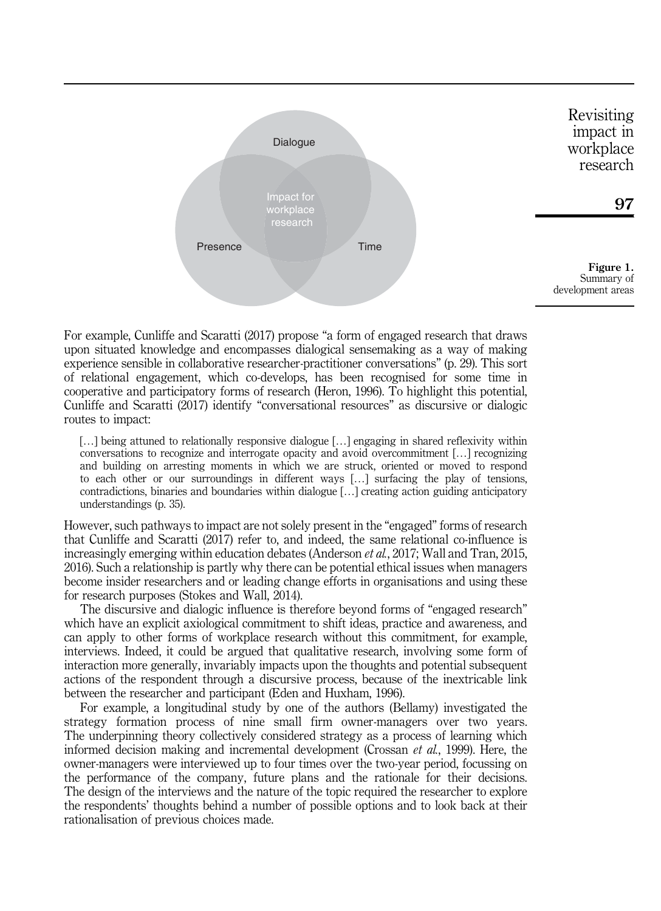

For example, Cunliffe and Scaratti (2017) propose "a form of engaged research that draws upon situated knowledge and encompasses dialogical sensemaking as a way of making experience sensible in collaborative researcher-practitioner conversations" (p. 29). This sort of relational engagement, which co-develops, has been recognised for some time in cooperative and participatory forms of research (Heron, 1996). To highlight this potential, Cunliffe and Scaratti (2017) identify "conversational resources" as discursive or dialogic routes to impact:

[...] being attuned to relationally responsive dialogue [...] engaging in shared reflexivity within conversations to recognize and interrogate opacity and avoid overcommitment […] recognizing and building on arresting moments in which we are struck, oriented or moved to respond to each other or our surroundings in different ways […] surfacing the play of tensions, contradictions, binaries and boundaries within dialogue […] creating action guiding anticipatory understandings (p. 35).

However, such pathways to impact are not solely present in the "engaged" forms of research that Cunliffe and Scaratti (2017) refer to, and indeed, the same relational co-influence is increasingly emerging within education debates (Anderson *et al.*, 2017; Wall and Tran, 2015, 2016). Such a relationship is partly why there can be potential ethical issues when managers become insider researchers and or leading change efforts in organisations and using these for research purposes (Stokes and Wall, 2014).

The discursive and dialogic influence is therefore beyond forms of "engaged research" which have an explicit axiological commitment to shift ideas, practice and awareness, and can apply to other forms of workplace research without this commitment, for example, interviews. Indeed, it could be argued that qualitative research, involving some form of interaction more generally, invariably impacts upon the thoughts and potential subsequent actions of the respondent through a discursive process, because of the inextricable link between the researcher and participant (Eden and Huxham, 1996).

For example, a longitudinal study by one of the authors (Bellamy) investigated the strategy formation process of nine small firm owner-managers over two years. The underpinning theory collectively considered strategy as a process of learning which informed decision making and incremental development (Crossan  $et$  al., 1999). Here, the owner-managers were interviewed up to four times over the two-year period, focussing on the performance of the company, future plans and the rationale for their decisions. The design of the interviews and the nature of the topic required the researcher to explore the respondents' thoughts behind a number of possible options and to look back at their rationalisation of previous choices made.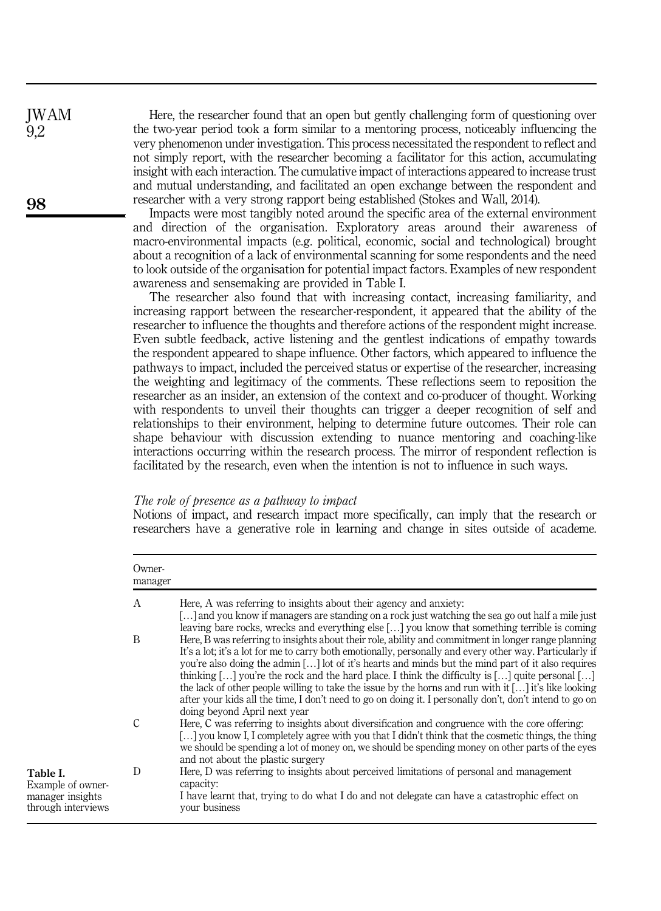Here, the researcher found that an open but gently challenging form of questioning over the two-year period took a form similar to a mentoring process, noticeably influencing the very phenomenon under investigation. This process necessitated the respondent to reflect and not simply report, with the researcher becoming a facilitator for this action, accumulating insight with each interaction. The cumulative impact of interactions appeared to increase trust and mutual understanding, and facilitated an open exchange between the respondent and researcher with a very strong rapport being established (Stokes and Wall, 2014).

Impacts were most tangibly noted around the specific area of the external environment and direction of the organisation. Exploratory areas around their awareness of macro-environmental impacts (e.g. political, economic, social and technological) brought about a recognition of a lack of environmental scanning for some respondents and the need to look outside of the organisation for potential impact factors. Examples of new respondent awareness and sensemaking are provided in Table I.

The researcher also found that with increasing contact, increasing familiarity, and increasing rapport between the researcher-respondent, it appeared that the ability of the researcher to influence the thoughts and therefore actions of the respondent might increase. Even subtle feedback, active listening and the gentlest indications of empathy towards the respondent appeared to shape influence. Other factors, which appeared to influence the pathways to impact, included the perceived status or expertise of the researcher, increasing the weighting and legitimacy of the comments. These reflections seem to reposition the researcher as an insider, an extension of the context and co-producer of thought. Working with respondents to unveil their thoughts can trigger a deeper recognition of self and relationships to their environment, helping to determine future outcomes. Their role can shape behaviour with discussion extending to nuance mentoring and coaching-like interactions occurring within the research process. The mirror of respondent reflection is facilitated by the research, even when the intention is not to influence in such ways.

#### The role of presence as a pathway to impact

Notions of impact, and research impact more specifically, can imply that the research or researchers have a generative role in learning and change in sites outside of academe.

|                                                                         | Owner-<br>manager |                                                                                                                                                                                                                                                                                                                                                                                                                                                                                                                                                                                                                                                                             |
|-------------------------------------------------------------------------|-------------------|-----------------------------------------------------------------------------------------------------------------------------------------------------------------------------------------------------------------------------------------------------------------------------------------------------------------------------------------------------------------------------------------------------------------------------------------------------------------------------------------------------------------------------------------------------------------------------------------------------------------------------------------------------------------------------|
|                                                                         | A                 | Here, A was referring to insights about their agency and anxiety:<br>[] and you know if managers are standing on a rock just watching the sea go out half a mile just<br>leaving bare rocks, wrecks and everything else [] you know that something terrible is coming                                                                                                                                                                                                                                                                                                                                                                                                       |
|                                                                         | B                 | Here, B was referring to insights about their role, ability and commitment in longer range planning<br>It's a lot; it's a lot for me to carry both emotionally, personally and every other way. Particularly if<br>you're also doing the admin [] lot of it's hearts and minds but the mind part of it also requires<br>thinking [] you're the rock and the hard place. I think the difficulty is [] quite personal []<br>the lack of other people willing to take the issue by the horns and run with it $[]$ it's like looking<br>after your kids all the time, I don't need to go on doing it. I personally don't, don't intend to go on<br>doing beyond April next year |
|                                                                         | С                 | Here, C was referring to insights about diversification and congruence with the core offering:<br>[] you know I, I completely agree with you that I didn't think that the cosmetic things, the thing<br>we should be spending a lot of money on, we should be spending money on other parts of the eyes<br>and not about the plastic surgery                                                                                                                                                                                                                                                                                                                                |
| Table I.<br>Example of owner-<br>manager insights<br>through interviews | D                 | Here, D was referring to insights about perceived limitations of personal and management<br>capacity:<br>I have learnt that, trying to do what I do and not delegate can have a catastrophic effect on<br>vour business                                                                                                                                                                                                                                                                                                                                                                                                                                                     |

98

JWAM 9,2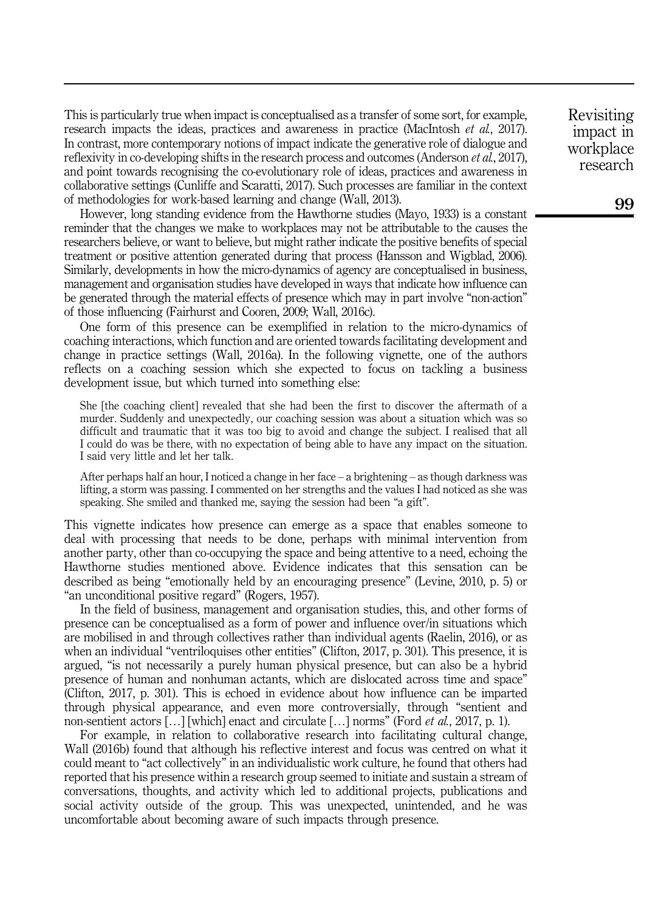This is particularly true when impact is conceptualised as a transfer of some sort, for example, research impacts the ideas, practices and awareness in practice (MacIntosh *et al.*, 2017). In contrast, more contemporary notions of impact indicate the generative role of dialogue and reflexivity in co-developing shifts in the research process and outcomes (Anderson *et al.*, 2017), and point towards recognising the co-evolutionary role of ideas, practices and awareness in collaborative settings (Cunliffe and Scaratti, 2017). Such processes are familiar in the context of methodologies for work-based learning and change (Wall, 2013).

However, long standing evidence from the Hawthorne studies (Mayo, 1933) is a constant reminder that the changes we make to workplaces may not be attributable to the causes the researchers believe, or want to believe, but might rather indicate the positive benefits of special treatment or positive attention generated during that process (Hansson and Wigblad, 2006). Similarly, developments in how the micro-dynamics of agency are conceptualised in business, management and organisation studies have developed in ways that indicate how influence can be generated through the material effects of presence which may in part involve "non-action" of those influencing (Fairhurst and Cooren, 2009; Wall, 2016c).

One form of this presence can be exemplified in relation to the micro-dynamics of coaching interactions, which function and are oriented towards facilitating development and change in practice settings (Wall, 2016a). In the following vignette, one of the authors reflects on a coaching session which she expected to focus on tackling a business development issue, but which turned into something else:

She [the coaching client] revealed that she had been the first to discover the aftermath of a murder. Suddenly and unexpectedly, our coaching session was about a situation which was so difficult and traumatic that it was too big to avoid and change the subject. I realised that all I could do was be there, with no expectation of being able to have any impact on the situation. I said very little and let her talk.

After perhaps half an hour, I noticed a change in her face – a brightening – as though darkness was lifting, a storm was passing. I commented on her strengths and the values I had noticed as she was speaking. She smiled and thanked me, saying the session had been "a gift".

This vignette indicates how presence can emerge as a space that enables someone to deal with processing that needs to be done, perhaps with minimal intervention from another party, other than co-occupying the space and being attentive to a need, echoing the Hawthorne studies mentioned above. Evidence indicates that this sensation can be described as being "emotionally held by an encouraging presence" (Levine, 2010, p. 5) or "an unconditional positive regard" (Rogers, 1957).

In the field of business, management and organisation studies, this, and other forms of presence can be conceptualised as a form of power and influence over/in situations which are mobilised in and through collectives rather than individual agents (Raelin, 2016), or as when an individual "ventriloquises other entities" (Clifton, 2017, p. 301). This presence, it is argued, "is not necessarily a purely human physical presence, but can also be a hybrid presence of human and nonhuman actants, which are dislocated across time and space" (Clifton, 2017, p. 301). This is echoed in evidence about how influence can be imparted through physical appearance, and even more controversially, through "sentient and non-sentient actors  $[\dots]$  [which] enact and circulate  $[\dots]$  norms" (Ford *et al.*, 2017, p. 1).

For example, in relation to collaborative research into facilitating cultural change, Wall (2016b) found that although his reflective interest and focus was centred on what it could meant to "act collectively" in an individualistic work culture, he found that others had reported that his presence within a research group seemed to initiate and sustain a stream of conversations, thoughts, and activity which led to additional projects, publications and social activity outside of the group. This was unexpected, unintended, and he was uncomfortable about becoming aware of such impacts through presence.

Revisiting impact in workplace research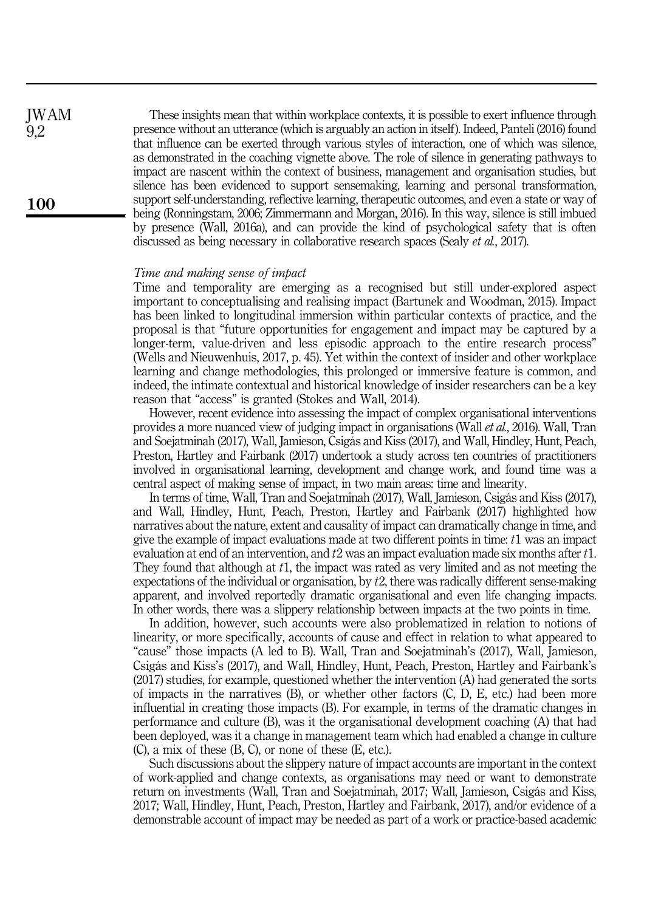These insights mean that within workplace contexts, it is possible to exert influence through presence without an utterance (which is arguably an action in itself). Indeed, Panteli (2016) found that influence can be exerted through various styles of interaction, one of which was silence, as demonstrated in the coaching vignette above. The role of silence in generating pathways to impact are nascent within the context of business, management and organisation studies, but silence has been evidenced to support sensemaking, learning and personal transformation, support self-understanding, reflective learning, therapeutic outcomes, and even a state or way of being (Ronningstam, 2006; Zimmermann and Morgan, 2016). In this way, silence is still imbued by presence (Wall, 2016a), and can provide the kind of psychological safety that is often discussed as being necessary in collaborative research spaces (Sealy et al., 2017).

#### Time and making sense of impact

Time and temporality are emerging as a recognised but still under-explored aspect important to conceptualising and realising impact (Bartunek and Woodman, 2015). Impact has been linked to longitudinal immersion within particular contexts of practice, and the proposal is that "future opportunities for engagement and impact may be captured by a longer-term, value-driven and less episodic approach to the entire research process" (Wells and Nieuwenhuis, 2017, p. 45). Yet within the context of insider and other workplace learning and change methodologies, this prolonged or immersive feature is common, and indeed, the intimate contextual and historical knowledge of insider researchers can be a key reason that "access" is granted (Stokes and Wall, 2014).

However, recent evidence into assessing the impact of complex organisational interventions provides a more nuanced view of judging impact in organisations (Wall et al., 2016). Wall, Tran and Soejatminah (2017), Wall, Jamieson, Csigás and Kiss (2017), and Wall, Hindley, Hunt, Peach, Preston, Hartley and Fairbank (2017) undertook a study across ten countries of practitioners involved in organisational learning, development and change work, and found time was a central aspect of making sense of impact, in two main areas: time and linearity.

In terms of time, Wall, Tran and Soejatminah (2017), Wall, Jamieson, Csigás and Kiss (2017), and Wall, Hindley, Hunt, Peach, Preston, Hartley and Fairbank (2017) highlighted how narratives about the nature, extent and causality of impact can dramatically change in time, and give the example of impact evaluations made at two different points in time: t1 was an impact evaluation at end of an intervention, and  $t2$  was an impact evaluation made six months after  $t1$ . They found that although at t1, the impact was rated as very limited and as not meeting the expectations of the individual or organisation, by t2, there was radically different sense-making apparent, and involved reportedly dramatic organisational and even life changing impacts. In other words, there was a slippery relationship between impacts at the two points in time.

In addition, however, such accounts were also problematized in relation to notions of linearity, or more specifically, accounts of cause and effect in relation to what appeared to "cause" those impacts (A led to B). Wall, Tran and Soejatminah's (2017), Wall, Jamieson, Csigás and Kiss's (2017), and Wall, Hindley, Hunt, Peach, Preston, Hartley and Fairbank's (2017) studies, for example, questioned whether the intervention (A) had generated the sorts of impacts in the narratives  $(B)$ , or whether other factors  $(C, D, E, \text{ etc.})$  had been more influential in creating those impacts (B). For example, in terms of the dramatic changes in performance and culture (B), was it the organisational development coaching (A) that had been deployed, was it a change in management team which had enabled a change in culture (C), a mix of these (B, C), or none of these (E, etc.).

Such discussions about the slippery nature of impact accounts are important in the context of work-applied and change contexts, as organisations may need or want to demonstrate return on investments (Wall, Tran and Soejatminah, 2017; Wall, Jamieson, Csigás and Kiss, 2017; Wall, Hindley, Hunt, Peach, Preston, Hartley and Fairbank, 2017), and/or evidence of a demonstrable account of impact may be needed as part of a work or practice-based academic

100

JWAM 9,2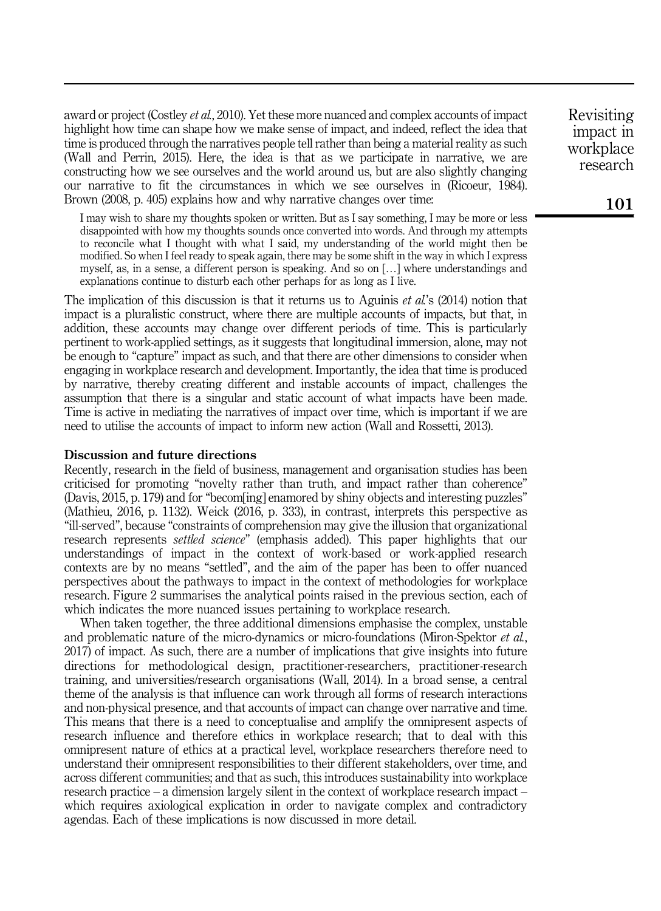award or project (Costley et al., 2010). Yet these more nuanced and complex accounts of impact highlight how time can shape how we make sense of impact, and indeed, reflect the idea that time is produced through the narratives people tell rather than being a material reality as such (Wall and Perrin, 2015). Here, the idea is that as we participate in narrative, we are constructing how we see ourselves and the world around us, but are also slightly changing our narrative to fit the circumstances in which we see ourselves in (Ricoeur, 1984). Brown (2008, p. 405) explains how and why narrative changes over time:

I may wish to share my thoughts spoken or written. But as I say something, I may be more or less disappointed with how my thoughts sounds once converted into words. And through my attempts to reconcile what I thought with what I said, my understanding of the world might then be modified. So when I feel ready to speak again, there may be some shift in the way in which I express myself, as, in a sense, a different person is speaking. And so on […] where understandings and explanations continue to disturb each other perhaps for as long as I live.

The implication of this discussion is that it returns us to Aguinis *et al.*'s (2014) notion that impact is a pluralistic construct, where there are multiple accounts of impacts, but that, in addition, these accounts may change over different periods of time. This is particularly pertinent to work-applied settings, as it suggests that longitudinal immersion, alone, may not be enough to "capture" impact as such, and that there are other dimensions to consider when engaging in workplace research and development. Importantly, the idea that time is produced by narrative, thereby creating different and instable accounts of impact, challenges the assumption that there is a singular and static account of what impacts have been made. Time is active in mediating the narratives of impact over time, which is important if we are need to utilise the accounts of impact to inform new action (Wall and Rossetti, 2013).

## Discussion and future directions

Recently, research in the field of business, management and organisation studies has been criticised for promoting "novelty rather than truth, and impact rather than coherence" (Davis, 2015, p. 179) and for "becom[ing] enamored by shiny objects and interesting puzzles" (Mathieu, 2016, p. 1132). Weick (2016, p. 333), in contrast, interprets this perspective as "ill-served", because "constraints of comprehension may give the illusion that organizational research represents settled science" (emphasis added). This paper highlights that our understandings of impact in the context of work-based or work-applied research contexts are by no means "settled", and the aim of the paper has been to offer nuanced perspectives about the pathways to impact in the context of methodologies for workplace research. Figure 2 summarises the analytical points raised in the previous section, each of which indicates the more nuanced issues pertaining to workplace research.

When taken together, the three additional dimensions emphasise the complex, unstable and problematic nature of the micro-dynamics or micro-foundations (Miron-Spektor *et al.*, 2017) of impact. As such, there are a number of implications that give insights into future directions for methodological design, practitioner-researchers, practitioner-research training, and universities/research organisations (Wall, 2014). In a broad sense, a central theme of the analysis is that influence can work through all forms of research interactions and non-physical presence, and that accounts of impact can change over narrative and time. This means that there is a need to conceptualise and amplify the omnipresent aspects of research influence and therefore ethics in workplace research; that to deal with this omnipresent nature of ethics at a practical level, workplace researchers therefore need to understand their omnipresent responsibilities to their different stakeholders, over time, and across different communities; and that as such, this introduces sustainability into workplace research practice – a dimension largely silent in the context of workplace research impact – which requires axiological explication in order to navigate complex and contradictory agendas. Each of these implications is now discussed in more detail.

Revisiting impact in workplace research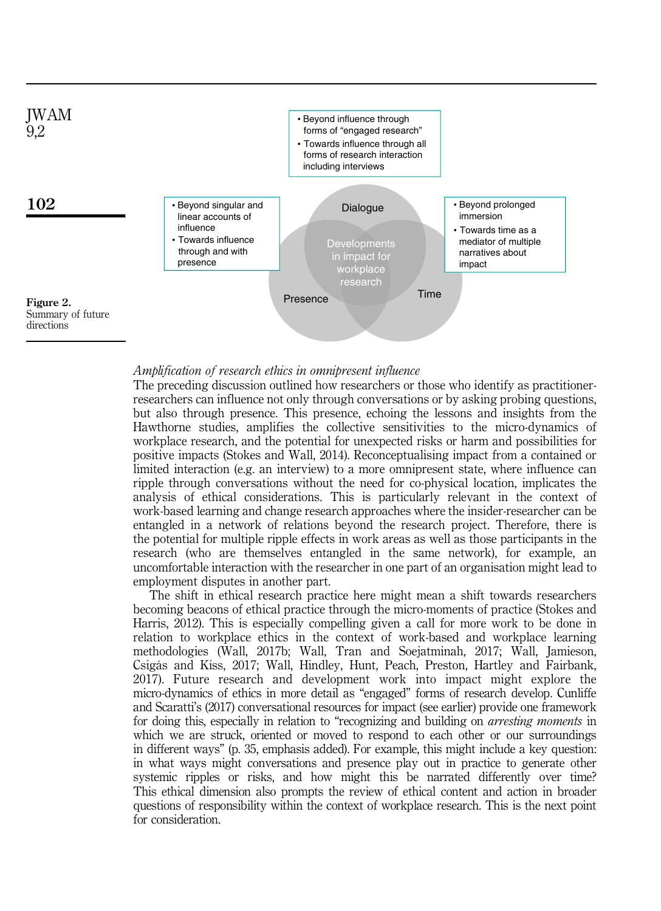

### Amplification of research ethics in omnipresent influence

The preceding discussion outlined how researchers or those who identify as practitionerresearchers can influence not only through conversations or by asking probing questions, but also through presence. This presence, echoing the lessons and insights from the Hawthorne studies, amplifies the collective sensitivities to the micro-dynamics of workplace research, and the potential for unexpected risks or harm and possibilities for positive impacts (Stokes and Wall, 2014). Reconceptualising impact from a contained or limited interaction (e.g. an interview) to a more omnipresent state, where influence can ripple through conversations without the need for co-physical location, implicates the analysis of ethical considerations. This is particularly relevant in the context of work-based learning and change research approaches where the insider-researcher can be entangled in a network of relations beyond the research project. Therefore, there is the potential for multiple ripple effects in work areas as well as those participants in the research (who are themselves entangled in the same network), for example, an uncomfortable interaction with the researcher in one part of an organisation might lead to employment disputes in another part.

The shift in ethical research practice here might mean a shift towards researchers becoming beacons of ethical practice through the micro-moments of practice (Stokes and Harris, 2012). This is especially compelling given a call for more work to be done in relation to workplace ethics in the context of work-based and workplace learning methodologies (Wall, 2017b; Wall, Tran and Soejatminah, 2017; Wall, Jamieson, Csigás and Kiss, 2017; Wall, Hindley, Hunt, Peach, Preston, Hartley and Fairbank, 2017). Future research and development work into impact might explore the micro-dynamics of ethics in more detail as "engaged" forms of research develop. Cunliffe and Scaratti's (2017) conversational resources for impact (see earlier) provide one framework for doing this, especially in relation to "recognizing and building on arresting moments in which we are struck, oriented or moved to respond to each other or our surroundings in different ways" (p. 35, emphasis added). For example, this might include a key question: in what ways might conversations and presence play out in practice to generate other systemic ripples or risks, and how might this be narrated differently over time? This ethical dimension also prompts the review of ethical content and action in broader questions of responsibility within the context of workplace research. This is the next point for consideration.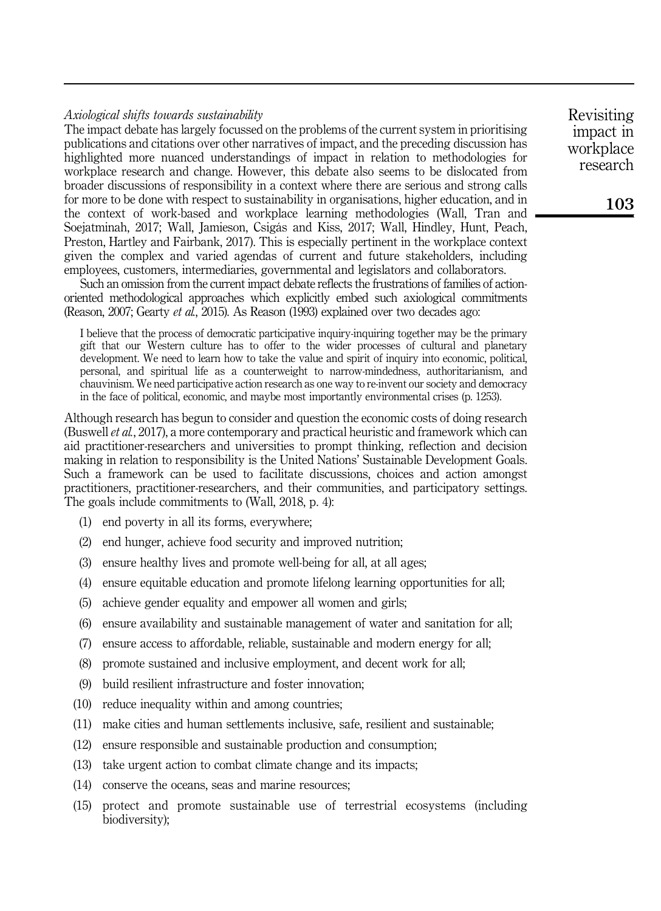# Axiological shifts towards sustainability

The impact debate has largely focussed on the problems of the current system in prioritising publications and citations over other narratives of impact, and the preceding discussion has highlighted more nuanced understandings of impact in relation to methodologies for workplace research and change. However, this debate also seems to be dislocated from broader discussions of responsibility in a context where there are serious and strong calls for more to be done with respect to sustainability in organisations, higher education, and in the context of work-based and workplace learning methodologies (Wall, Tran and Soejatminah, 2017; Wall, Jamieson, Csigás and Kiss, 2017; Wall, Hindley, Hunt, Peach, Preston, Hartley and Fairbank, 2017). This is especially pertinent in the workplace context given the complex and varied agendas of current and future stakeholders, including employees, customers, intermediaries, governmental and legislators and collaborators.

Such an omission from the current impact debate reflects the frustrations of families of actionoriented methodological approaches which explicitly embed such axiological commitments (Reason, 2007; Gearty et al., 2015). As Reason (1993) explained over two decades ago:

I believe that the process of democratic participative inquiry-inquiring together may be the primary gift that our Western culture has to offer to the wider processes of cultural and planetary development. We need to learn how to take the value and spirit of inquiry into economic, political, personal, and spiritual life as a counterweight to narrow-mindedness, authoritarianism, and chauvinism. We need participative action research as one way to re-invent our society and democracy in the face of political, economic, and maybe most importantly environmental crises (p. 1253).

Although research has begun to consider and question the economic costs of doing research (Buswell et al., 2017), a more contemporary and practical heuristic and framework which can aid practitioner-researchers and universities to prompt thinking, reflection and decision making in relation to responsibility is the United Nations' Sustainable Development Goals. Such a framework can be used to facilitate discussions, choices and action amongst practitioners, practitioner-researchers, and their communities, and participatory settings. The goals include commitments to (Wall, 2018, p. 4):

- (1) end poverty in all its forms, everywhere;
- (2) end hunger, achieve food security and improved nutrition;
- (3) ensure healthy lives and promote well-being for all, at all ages;
- (4) ensure equitable education and promote lifelong learning opportunities for all;
- (5) achieve gender equality and empower all women and girls;
- (6) ensure availability and sustainable management of water and sanitation for all;
- (7) ensure access to affordable, reliable, sustainable and modern energy for all;
- (8) promote sustained and inclusive employment, and decent work for all;
- (9) build resilient infrastructure and foster innovation;
- (10) reduce inequality within and among countries;
- (11) make cities and human settlements inclusive, safe, resilient and sustainable;
- (12) ensure responsible and sustainable production and consumption;
- (13) take urgent action to combat climate change and its impacts;
- (14) conserve the oceans, seas and marine resources;
- (15) protect and promote sustainable use of terrestrial ecosystems (including biodiversity);

Revisiting impact in workplace research

103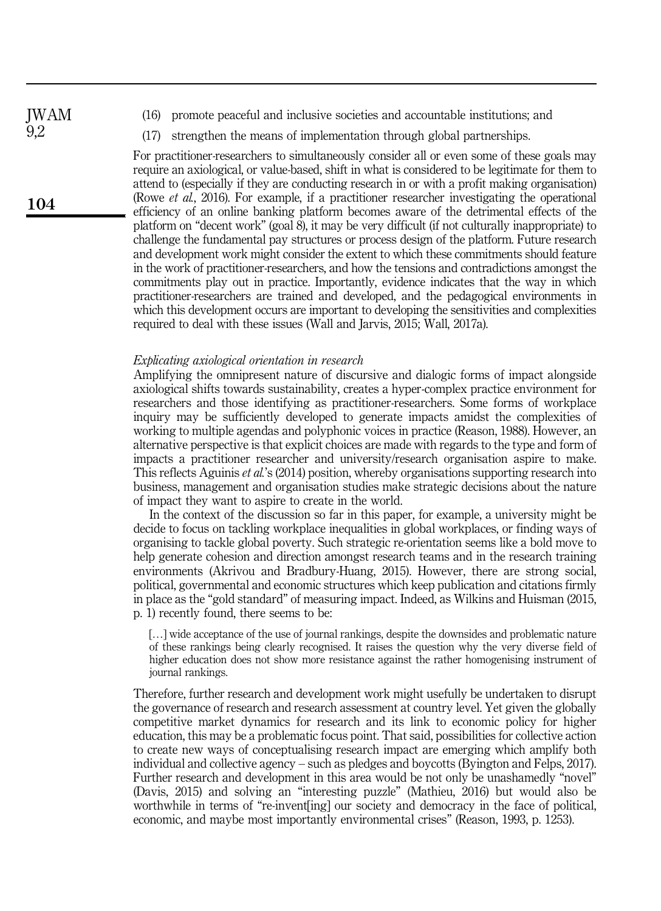JWAM 9,2

104

- 
- (16) promote peaceful and inclusive societies and accountable institutions; and
- (17) strengthen the means of implementation through global partnerships.

For practitioner-researchers to simultaneously consider all or even some of these goals may require an axiological, or value-based, shift in what is considered to be legitimate for them to attend to (especially if they are conducting research in or with a profit making organisation) (Rowe et al., 2016). For example, if a practitioner researcher investigating the operational efficiency of an online banking platform becomes aware of the detrimental effects of the platform on "decent work" (goal 8), it may be very difficult (if not culturally inappropriate) to challenge the fundamental pay structures or process design of the platform. Future research and development work might consider the extent to which these commitments should feature in the work of practitioner-researchers, and how the tensions and contradictions amongst the commitments play out in practice. Importantly, evidence indicates that the way in which practitioner-researchers are trained and developed, and the pedagogical environments in which this development occurs are important to developing the sensitivities and complexities required to deal with these issues (Wall and Jarvis, 2015; Wall, 2017a).

# Explicating axiological orientation in research

Amplifying the omnipresent nature of discursive and dialogic forms of impact alongside axiological shifts towards sustainability, creates a hyper-complex practice environment for researchers and those identifying as practitioner-researchers. Some forms of workplace inquiry may be sufficiently developed to generate impacts amidst the complexities of working to multiple agendas and polyphonic voices in practice (Reason, 1988). However, an alternative perspective is that explicit choices are made with regards to the type and form of impacts a practitioner researcher and university/research organisation aspire to make. This reflects Aguinis *et al.*'s (2014) position, whereby organisations supporting research into business, management and organisation studies make strategic decisions about the nature of impact they want to aspire to create in the world.

In the context of the discussion so far in this paper, for example, a university might be decide to focus on tackling workplace inequalities in global workplaces, or finding ways of organising to tackle global poverty. Such strategic re-orientation seems like a bold move to help generate cohesion and direction amongst research teams and in the research training environments (Akrivou and Bradbury-Huang, 2015). However, there are strong social, political, governmental and economic structures which keep publication and citations firmly in place as the "gold standard" of measuring impact. Indeed, as Wilkins and Huisman (2015, p. 1) recently found, there seems to be:

[...] wide acceptance of the use of journal rankings, despite the downsides and problematic nature of these rankings being clearly recognised. It raises the question why the very diverse field of higher education does not show more resistance against the rather homogenising instrument of journal rankings.

Therefore, further research and development work might usefully be undertaken to disrupt the governance of research and research assessment at country level. Yet given the globally competitive market dynamics for research and its link to economic policy for higher education, this may be a problematic focus point. That said, possibilities for collective action to create new ways of conceptualising research impact are emerging which amplify both individual and collective agency – such as pledges and boycotts (Byington and Felps, 2017). Further research and development in this area would be not only be unashamedly "novel" (Davis, 2015) and solving an "interesting puzzle" (Mathieu, 2016) but would also be worthwhile in terms of "re-invent ingl our society and democracy in the face of political, economic, and maybe most importantly environmental crises" (Reason, 1993, p. 1253).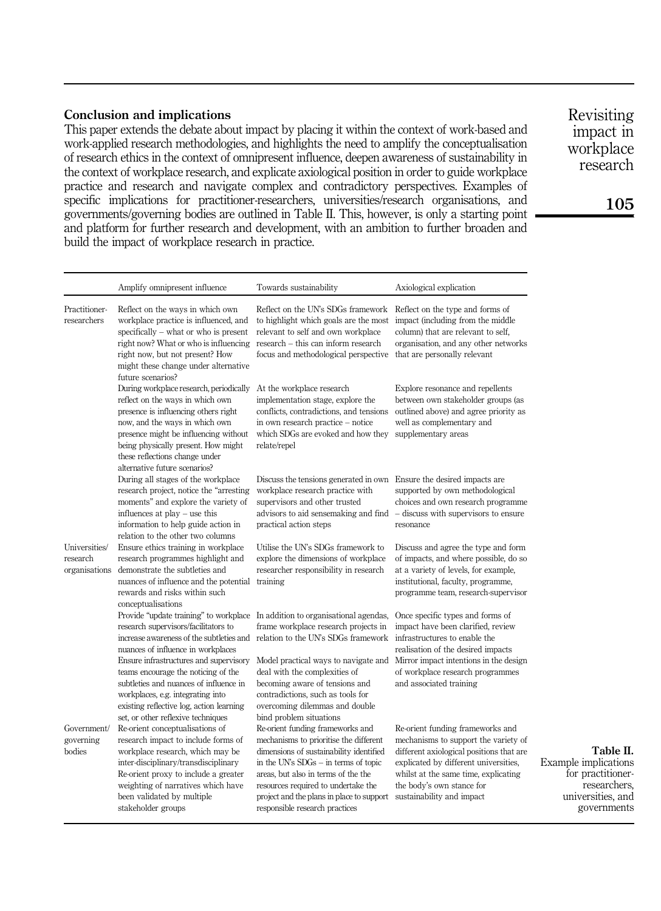# Conclusion and implications

This paper extends the debate about impact by placing it within the context of work-based and work-applied research methodologies, and highlights the need to amplify the conceptualisation of research ethics in the context of omnipresent influence, deepen awareness of sustainability in the context of workplace research, and explicate axiological position in order to guide workplace practice and research and navigate complex and contradictory perspectives. Examples of specific implications for practitioner-researchers, universities/research organisations, and governments/governing bodies are outlined in Table II. This, however, is only a starting point and platform for further research and development, with an ambition to further broaden and build the impact of workplace research in practice.

Revisiting impact in workplace research

|                                            | Amplify omnipresent influence                                                                                                                                                                                                                                                                            | Towards sustainability                                                                                                                                                                                                                                                                                                       | Axiological explication                                                                                                                                                                                                                                         |                                                                                                            |
|--------------------------------------------|----------------------------------------------------------------------------------------------------------------------------------------------------------------------------------------------------------------------------------------------------------------------------------------------------------|------------------------------------------------------------------------------------------------------------------------------------------------------------------------------------------------------------------------------------------------------------------------------------------------------------------------------|-----------------------------------------------------------------------------------------------------------------------------------------------------------------------------------------------------------------------------------------------------------------|------------------------------------------------------------------------------------------------------------|
| Practitioner-<br>researchers               | Reflect on the ways in which own<br>workplace practice is influenced, and<br>specifically – what or who is present<br>right now? What or who is influencing<br>right now, but not present? How<br>might these change under alternative<br>future scenarios?                                              | Reflect on the UN's SDGs framework<br>to highlight which goals are the most<br>relevant to self and own workplace<br>research - this can inform research<br>focus and methodological perspective                                                                                                                             | Reflect on the type and forms of<br>impact (including from the middle<br>column) that are relevant to self,<br>organisation, and any other networks<br>that are personally relevant                                                                             |                                                                                                            |
|                                            | During workplace research, periodically<br>reflect on the ways in which own<br>presence is influencing others right<br>now, and the ways in which own<br>presence might be influencing without<br>being physically present. How might<br>these reflections change under<br>alternative future scenarios? | At the workplace research<br>implementation stage, explore the<br>conflicts, contradictions, and tensions<br>in own research practice – notice<br>which SDGs are evoked and how they<br>relate/repel                                                                                                                         | Explore resonance and repellents<br>between own stakeholder groups (as<br>outlined above) and agree priority as<br>well as complementary and<br>supplementary areas                                                                                             |                                                                                                            |
|                                            | During all stages of the workplace<br>research project, notice the "arresting"<br>moments" and explore the variety of<br>influences at $play - use this$<br>information to help guide action in<br>relation to the other two columns                                                                     | Discuss the tensions generated in own Ensure the desired impacts are<br>workplace research practice with<br>supervisors and other trusted<br>advisors to aid sensemaking and find – discuss with supervisors to ensure<br>practical action steps                                                                             | supported by own methodological<br>choices and own research programme<br>resonance                                                                                                                                                                              |                                                                                                            |
| Universities/<br>research<br>organisations | Ensure ethics training in workplace<br>research programmes highlight and<br>demonstrate the subtleties and<br>nuances of influence and the potential training<br>rewards and risks within such<br>conceptualisations                                                                                     | Utilise the UN's SDGs framework to<br>explore the dimensions of workplace<br>researcher responsibility in research                                                                                                                                                                                                           | Discuss and agree the type and form<br>of impacts, and where possible, do so<br>at a variety of levels, for example,<br>institutional, faculty, programme,<br>programme team, research-supervisor                                                               |                                                                                                            |
|                                            | research supervisors/facilitators to<br>nuances of influence in workplaces<br>Ensure infrastructures and supervisory                                                                                                                                                                                     | Provide "update training" to workplace In addition to organisational agendas,<br>frame workplace research projects in<br>increase awareness of the subtleties and relation to the UN's SDGs framework infrastructures to enable the<br>Model practical ways to navigate and                                                  | Once specific types and forms of<br>impact have been clarified, review<br>realisation of the desired impacts<br>Mirror impact intentions in the design                                                                                                          |                                                                                                            |
|                                            | teams encourage the noticing of the<br>subtleties and nuances of influence in<br>workplaces, e.g. integrating into<br>existing reflective log, action learning<br>set, or other reflexive techniques                                                                                                     | deal with the complexities of<br>becoming aware of tensions and<br>contradictions, such as tools for<br>overcoming dilemmas and double<br>bind problem situations                                                                                                                                                            | of workplace research programmes<br>and associated training                                                                                                                                                                                                     |                                                                                                            |
| Government/<br>governing<br>bodies         | Re-orient conceptualisations of<br>research impact to include forms of<br>workplace research, which may be<br>inter-disciplinary/transdisciplinary<br>Re-orient proxy to include a greater<br>weighting of narratives which have<br>been validated by multiple<br>stakeholder groups                     | Re-orient funding frameworks and<br>mechanisms to prioritise the different<br>dimensions of sustainability identified<br>in the UN's $SDGs - in terms of topic$<br>areas, but also in terms of the the<br>resources required to undertake the<br>project and the plans in place to support<br>responsible research practices | Re-orient funding frameworks and<br>mechanisms to support the variety of<br>different axiological positions that are<br>explicated by different universities,<br>whilst at the same time, explicating<br>the body's own stance for<br>sustainability and impact | Table II.<br>Example implications<br>for practitioner-<br>researchers,<br>universities, and<br>governments |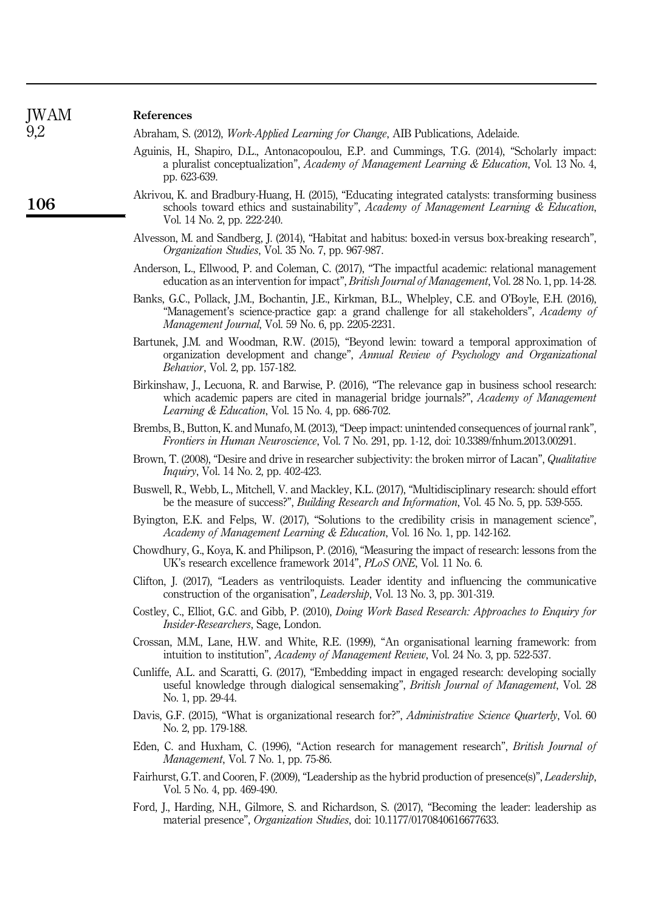| References                                                                                                                                                                                                                                           |
|------------------------------------------------------------------------------------------------------------------------------------------------------------------------------------------------------------------------------------------------------|
| Abraham, S. (2012), Work-Applied Learning for Change, AIB Publications, Adelaide.                                                                                                                                                                    |
| Aguinis, H., Shapiro, D.L., Antonacopoulou, E.P. and Cummings, T.G. (2014), "Scholarly impact:<br>a pluralist conceptualization", Academy of Management Learning & Education, Vol. 13 No. 4,<br>pp. 623-639.                                         |
| Akrivou, K. and Bradbury-Huang, H. (2015), "Educating integrated catalysts: transforming business<br>schools toward ethics and sustainability", Academy of Management Learning & Education,<br>Vol. 14 No. 2, pp. 222-240.                           |
| Alvesson, M. and Sandberg, J. (2014), "Habitat and habitus: boxed-in versus box-breaking research",<br>Organization Studies, Vol. 35 No. 7, pp. 967-987.                                                                                             |
| Anderson, L., Ellwood, P. and Coleman, C. (2017), "The impactful academic: relational management<br>education as an intervention for impact", <i>British Journal of Management</i> , Vol. 28 No. 1, pp. 14-28.                                       |
| Banks, G.C., Pollack, J.M., Bochantin, J.E., Kirkman, B.L., Whelpley, C.E. and O'Boyle, E.H. (2016),<br>"Management's science-practice gap: a grand challenge for all stakeholders", Academy of<br>Management Journal, Vol. 59 No. 6, pp. 2205-2231. |
| Bartunek, J.M. and Woodman, R.W. (2015), "Beyond lewin: toward a temporal approximation of<br>organization development and change", Annual Review of Psychology and Organizational<br><i>Behavior</i> , Vol. 2, pp. 157-182.                         |
| Birkinshaw, J., Lecuona, R. and Barwise, P. (2016), "The relevance gap in business school research:<br>which academic papers are cited in managerial bridge journals?", Academy of Management<br>Learning & Education, Vol. 15 No. 4, pp. 686-702.   |
| Brembs, B., Button, K. and Munafo, M. (2013), "Deep impact: unintended consequences of journal rank",<br>Frontiers in Human Neuroscience, Vol. 7 No. 291, pp. 1-12, doi: 10.3389/fnhum.2013.00291.                                                   |
| Brown, T. (2008), "Desire and drive in researcher subjectivity: the broken mirror of Lacan", Qualitative<br><i>Inquiry</i> , Vol. 14 No. 2, pp. 402-423.                                                                                             |
| Buswell, R., Webb, L., Mitchell, V. and Mackley, K.L. (2017), "Multidisciplinary research: should effort<br>be the measure of success?", <i>Building Research and Information</i> , Vol. 45 No. 5, pp. 539-555.                                      |
| Byington, E.K. and Felps, W. (2017), "Solutions to the credibility crisis in management science",<br>Academy of Management Learning & Education, Vol. 16 No. 1, pp. 142-162.                                                                         |
| Chowdhury, G., Koya, K. and Philipson, P. (2016), "Measuring the impact of research: lessons from the<br>UK's research excellence framework 2014", PLoS ONE, Vol. 11 No. 6.                                                                          |
| Clifton, J. (2017), "Leaders as ventriloquists. Leader identity and influencing the communicative<br>construction of the organisation", Leadership, Vol. 13 No. 3, pp. 301-319.                                                                      |
| Costley, C., Elliot, G.C. and Gibb, P. (2010), <i>Doing Work Based Research: Approaches to Enquiry for</i><br><i>Insider-Researchers</i> , Sage, London.                                                                                             |
| Crossan, M.M., Lane, H.W. and White, R.E. (1999), "An organisational learning framework: from<br>intuition to institution", Academy of Management Review, Vol. 24 No. 3, pp. 522-537.                                                                |
| Cunliffe, A.L. and Scaratti, G. (2017), "Embedding impact in engaged research: developing socially<br>useful knowledge through dialogical sensemaking", British Journal of Management, Vol. 28<br>No. 1, pp. 29-44.                                  |
| Davis, G.F. (2015), "What is organizational research for?", Administrative Science Quarterly, Vol. 60<br>No. 2, pp. 179-188.                                                                                                                         |
| Eden, C. and Huxham, C. (1996), "Action research for management research", British Journal of<br>Management, Vol. 7 No. 1, pp. 75-86.                                                                                                                |
| Fairhurst, G.T. and Cooren, F. (2009), "Leadership as the hybrid production of presence(s)", Leadership,<br>Vol. 5 No. 4, pp. 469-490.                                                                                                               |
| Ford, J., Harding, N.H., Gilmore, S. and Richardson, S. (2017), "Becoming the leader: leadership as<br>material presence", Organization Studies, doi: 10.1177/0170840616677633.                                                                      |
|                                                                                                                                                                                                                                                      |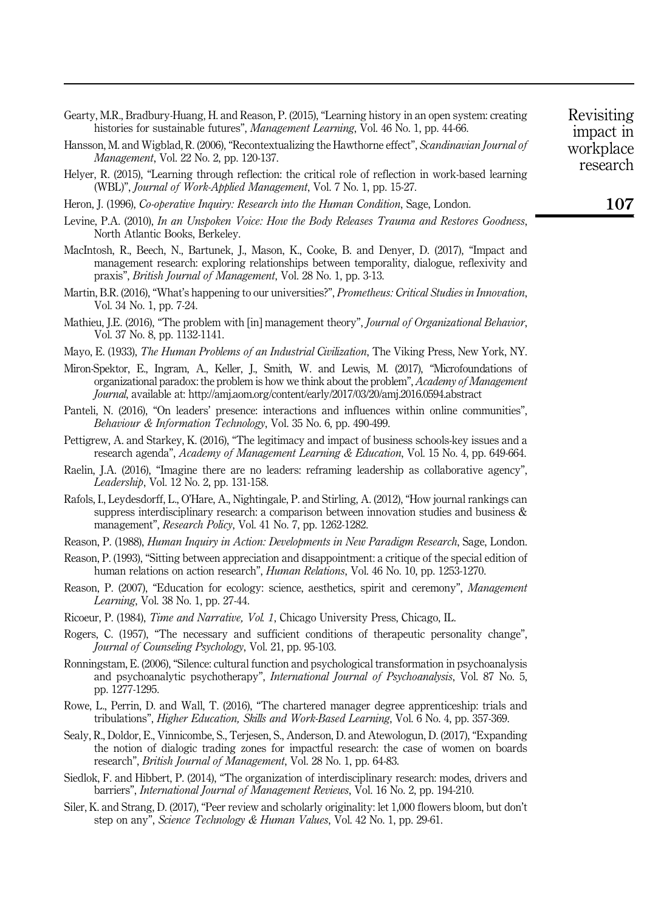| Gearty, M.R., Bradbury-Huang, H. and Reason, P. (2015), "Learning history in an open system: creating |  |
|-------------------------------------------------------------------------------------------------------|--|
| histories for sustainable futures", <i>Management Learning</i> , Vol. 46 No. 1, pp. 44-66.            |  |

- Hansson, M. and Wigblad, R. (2006), "Recontextualizing the Hawthorne effect", Scandinavian Journal of Management, Vol. 22 No. 2, pp. 120-137.
- Helyer, R. (2015), "Learning through reflection: the critical role of reflection in work-based learning (WBL)", Journal of Work-Applied Management, Vol. 7 No. 1, pp. 15-27.
- Heron, J. (1996), *Co-operative Inquiry: Research into the Human Condition*, Sage, London.
- Levine, P.A. (2010), In an Unspoken Voice: How the Body Releases Trauma and Restores Goodness, North Atlantic Books, Berkeley.
- MacIntosh, R., Beech, N., Bartunek, J., Mason, K., Cooke, B. and Denyer, D. (2017), "Impact and management research: exploring relationships between temporality, dialogue, reflexivity and praxis", British Journal of Management, Vol. 28 No. 1, pp. 3-13.
- Martin, B.R. (2016), "What's happening to our universities?", Prometheus: Critical Studies in Innovation, Vol. 34 No. 1, pp. 7-24.
- Mathieu, J.E. (2016), "The problem with [in] management theory", *Journal of Organizational Behavior*, Vol. 37 No. 8, pp. 1132-1141.
- Mayo, E. (1933), *The Human Problems of an Industrial Civilization*, The Viking Press, New York, NY.
- Miron-Spektor, E., Ingram, A., Keller, J., Smith, W. and Lewis, M. (2017), "Microfoundations of organizational paradox: the problem is how we think about the problem", Academy of Management Journal, available at:<http://amj.aom.org/content/early/2017/03/20/amj.2016.0594.abstract>
- Panteli, N. (2016), "On leaders' presence: interactions and influences within online communities", Behaviour & Information Technology, Vol. 35 No. 6, pp. 490-499.
- Pettigrew, A. and Starkey, K. (2016), "The legitimacy and impact of business schools-key issues and a research agenda", Academy of Management Learning & Education, Vol. 15 No. 4, pp. 649-664.
- Raelin, J.A. (2016), "Imagine there are no leaders: reframing leadership as collaborative agency", Leadership, Vol. 12 No. 2, pp. 131-158.
- Rafols, I., Leydesdorff, L., O'Hare, A., Nightingale, P. and Stirling, A. (2012), "How journal rankings can suppress interdisciplinary research: a comparison between innovation studies and business & management", *Research Policy*, Vol. 41 No. 7, pp. 1262-1282.
- Reason, P. (1988), *Human Inquiry in Action: Developments in New Paradigm Research*, Sage, London.
- Reason, P. (1993), "Sitting between appreciation and disappointment: a critique of the special edition of human relations on action research", *Human Relations*, Vol. 46 No. 10, pp. 1253-1270.
- Reason, P. (2007), "Education for ecology: science, aesthetics, spirit and ceremony", Management Learning, Vol. 38 No. 1, pp. 27-44.
- Ricoeur, P. (1984), Time and Narrative, Vol. 1, Chicago University Press, Chicago, IL.
- Rogers, C. (1957), "The necessary and sufficient conditions of therapeutic personality change", Journal of Counseling Psychology, Vol. 21, pp. 95-103.
- Ronningstam, E. (2006), "Silence: cultural function and psychological transformation in psychoanalysis and psychoanalytic psychotherapy", International Journal of Psychoanalysis, Vol. 87 No. 5, pp. 1277-1295.
- Rowe, L., Perrin, D. and Wall, T. (2016), "The chartered manager degree apprenticeship: trials and tribulations", Higher Education, Skills and Work-Based Learning, Vol. 6 No. 4, pp. 357-369.
- Sealy, R., Doldor, E., Vinnicombe, S., Terjesen, S., Anderson, D. and Atewologun, D. (2017), "Expanding the notion of dialogic trading zones for impactful research: the case of women on boards research", British Journal of Management, Vol. 28 No. 1, pp. 64-83.
- Siedlok, F. and Hibbert, P. (2014), "The organization of interdisciplinary research: modes, drivers and barriers", International Journal of Management Reviews, Vol. 16 No. 2, pp. 194-210.
- Siler, K. and Strang, D. (2017), "Peer review and scholarly originality: let 1,000 flowers bloom, but don't step on any", Science Technology & Human Values, Vol. 42 No. 1, pp. 29-61.

107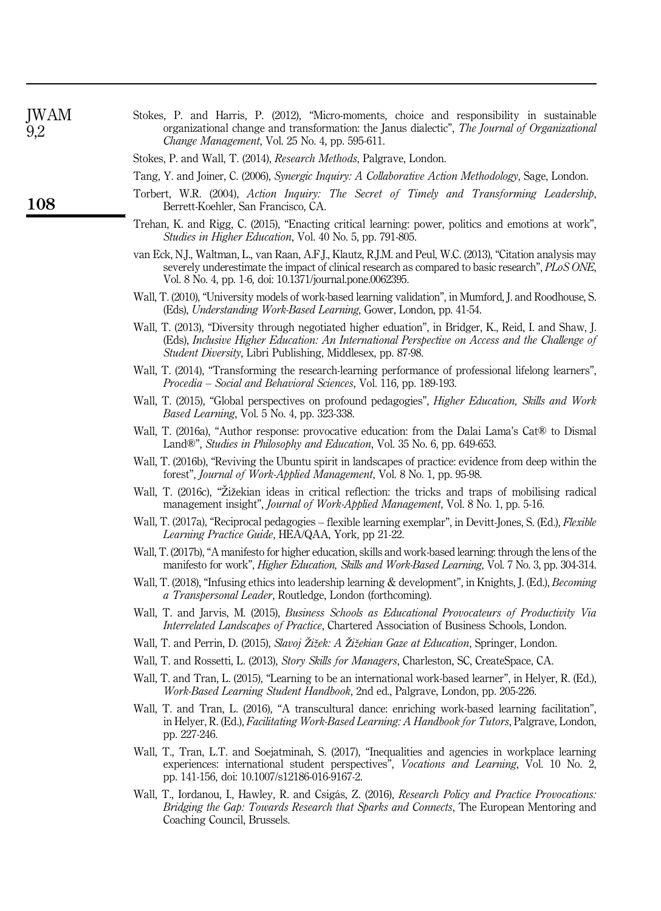| <b>JWAM</b><br>9,2 | Stokes, P. and Harris, P. (2012), "Micro-moments, choice and responsibility in sustainable<br>organizational change and transformation: the Janus dialectic", The Journal of Organizational<br>Change Management, Vol. 25 No. 4, pp. 595-611.                               |
|--------------------|-----------------------------------------------------------------------------------------------------------------------------------------------------------------------------------------------------------------------------------------------------------------------------|
|                    | Stokes, P. and Wall, T. (2014), Research Methods, Palgrave, London.                                                                                                                                                                                                         |
|                    | Tang, Y. and Joiner, C. (2006), Synergic Inquiry: A Collaborative Action Methodology, Sage, London.                                                                                                                                                                         |
| 108                | Torbert, W.R. (2004), Action Inquiry: The Secret of Timely and Transforming Leadership,<br>Berrett-Koehler, San Francisco, CA.                                                                                                                                              |
|                    | Trehan, K. and Rigg, C. (2015), "Enacting critical learning: power, politics and emotions at work",<br>Studies in Higher Education, Vol. 40 No. 5, pp. 791-805.                                                                                                             |
|                    | van Eck, N.J., Waltman, L., van Raan, A.F.J., Klautz, R.J.M. and Peul, W.C. (2013), "Citation analysis may<br>severely underestimate the impact of clinical research as compared to basic research", PLoS ONE,<br>Vol. 8 No. 4, pp. 1-6, doi: 10.1371/journal.pone.0062395. |
|                    | Wall, T. (2010), "University models of work-based learning validation", in Mumford, J. and Roodhouse, S.<br>(Eds), Understanding Work-Based Learning, Gower, London, pp. 41-54.                                                                                             |
|                    | Wall, T. (2013), "Diversity through negotiated higher eduation", in Bridger, K., Reid, I. and Shaw, J.<br>(Eds), Inclusive Higher Education: An International Perspective on Access and the Challenge of<br>Student Diversity, Libri Publishing, Middlesex, pp. 87-98.      |
|                    | Wall, T. (2014), "Transforming the research-learning performance of professional lifelong learners",<br>Procedia – Social and Behavioral Sciences, Vol. 116, pp. 189-193.                                                                                                   |
|                    | Wall, T. (2015), "Global perspectives on profound pedagogies", <i>Higher Education</i> , <i>Skills and Work</i><br><i>Based Learning</i> , Vol. 5 No. 4, pp. 323-338.                                                                                                       |
|                    | Wall, T. (2016a), "Author response: provocative education: from the Dalai Lama's Cat® to Dismal<br>Land®", Studies in Philosophy and Education, Vol. 35 No. 6, pp. 649-653.                                                                                                 |
|                    | Wall, T. (2016b), "Reviving the Ubuntu spirit in landscapes of practice: evidence from deep within the<br>forest", Journal of Work-Applied Management, Vol. 8 No. 1, pp. 95-98.                                                                                             |
|                    | Wall, T. (2016c), "Žižekian ideas in critical reflection: the tricks and traps of mobilising radical<br>management insight", <i>Journal of Work-Applied Management</i> , Vol. 8 No. 1, pp. 5-16.                                                                            |
|                    | Wall, T. (2017a), "Reciprocal pedagogies – flexible learning exemplar", in Devitt-Jones, S. (Ed.), Flexible<br>Learning Practice Guide, HEA/QAA, York, pp 21-22.                                                                                                            |
|                    | Wall, T. (2017b), "A manifesto for higher education, skills and work-based learning; through the lens of the<br>manifesto for work", <i>Higher Education, Skills and Work-Based Learning</i> , Vol. 7 No. 3, pp. 304-314.                                                   |
|                    | Wall, T. (2018), "Infusing ethics into leadership learning & development", in Knights, J. (Ed.), <i>Becoming</i><br>a Transpersonal Leader, Routledge, London (forthcoming).                                                                                                |
|                    | Wall, T. and Jarvis, M. (2015), Business Schools as Educational Provocateurs of Productivity Via<br>Interrelated Landscapes of Practice, Chartered Association of Business Schools, London.                                                                                 |
|                    | Wall, T. and Perrin, D. (2015), Slavoj Žižek: A Žižekian Gaze at Education, Springer, London.                                                                                                                                                                               |
|                    | Wall, T. and Rossetti, L. (2013), Story Skills for Managers, Charleston, SC, CreateSpace, CA.                                                                                                                                                                               |
|                    | Wall, T. and Tran, L. (2015), "Learning to be an international work-based learner", in Helyer, R. (Ed.),<br>Work-Based Learning Student Handbook, 2nd ed., Palgrave, London, pp. 205-226.                                                                                   |
|                    | Wall, T. and Tran, L. (2016), "A transcultural dance: enriching work-based learning facilitation",<br>in Helyer, R. (Ed.), <i>Facilitating Work-Based Learning: A Handbook for Tutors</i> , Palgrave, London,<br>pp. 227-246.                                               |
|                    | Wall, T., Tran, L.T. and Soejatminah, S. (2017), "Inequalities and agencies in workplace learning<br>experiences: international student perspectives", <i>Vocations and Learning</i> , Vol. 10 No. 2,<br>pp. 141-156, doi: 10.1007/s12186-016-9167-2.                       |
|                    | Wall, T., Iordanou, I., Hawley, R. and Csigás, Z. (2016), Research Policy and Practice Provocations:<br><i>Bridging the Gap: Towards Research that Sparks and Connects, The European Mentoring and</i><br>Coaching Council, Brussels.                                       |
|                    |                                                                                                                                                                                                                                                                             |